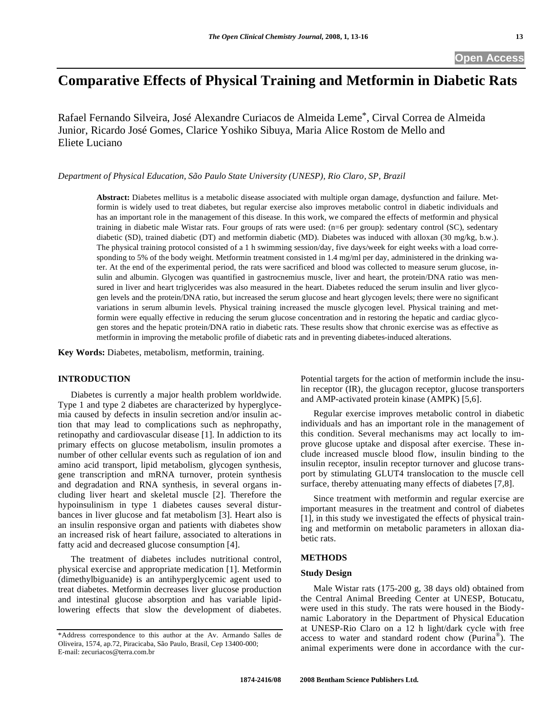# **Comparative Effects of Physical Training and Metformin in Diabetic Rats**

Rafael Fernando Silveira, José Alexandre Curiacos de Almeida Leme\*, Cirval Correa de Almeida Junior, Ricardo José Gomes, Clarice Yoshiko Sibuya, Maria Alice Rostom de Mello and Eliete Luciano

*Department of Physical Education, São Paulo State University (UNESP), Rio Claro, SP, Brazil* 

**Abstract:** Diabetes mellitus is a metabolic disease associated with multiple organ damage, dysfunction and failure. Metformin is widely used to treat diabetes, but regular exercise also improves metabolic control in diabetic individuals and has an important role in the management of this disease. In this work, we compared the effects of metformin and physical training in diabetic male Wistar rats. Four groups of rats were used: (n=6 per group): sedentary control (SC), sedentary diabetic (SD), trained diabetic (DT) and metformin diabetic (MD). Diabetes was induced with alloxan (30 mg/kg, b.w.). The physical training protocol consisted of a 1 h swimming session/day, five days/week for eight weeks with a load corresponding to 5% of the body weight. Metformin treatment consisted in 1.4 mg/ml per day, administered in the drinking water. At the end of the experimental period, the rats were sacrificed and blood was collected to measure serum glucose, insulin and albumin. Glycogen was quantified in gastrocnemius muscle, liver and heart, the protein/DNA ratio was mensured in liver and heart triglycerides was also measured in the heart. Diabetes reduced the serum insulin and liver glycogen levels and the protein/DNA ratio, but increased the serum glucose and heart glycogen levels; there were no significant variations in serum albumin levels. Physical training increased the muscle glycogen level. Physical training and metformin were equally effective in reducing the serum glucose concentration and in restoring the hepatic and cardiac glycogen stores and the hepatic protein/DNA ratio in diabetic rats. These results show that chronic exercise was as effective as metformin in improving the metabolic profile of diabetic rats and in preventing diabetes-induced alterations.

**Key Words:** Diabetes, metabolism, metformin, training.

### **INTRODUCTION**

 Diabetes is currently a major health problem worldwide. Type 1 and type 2 diabetes are characterized by hyperglycemia caused by defects in insulin secretion and/or insulin action that may lead to complications such as nephropathy, retinopathy and cardiovascular disease [1]. In addiction to its primary effects on glucose metabolism, insulin promotes a number of other cellular events such as regulation of ion and amino acid transport, lipid metabolism, glycogen synthesis, gene transcription and mRNA turnover, protein synthesis and degradation and RNA synthesis, in several organs including liver heart and skeletal muscle [2]. Therefore the hypoinsulinism in type 1 diabetes causes several disturbances in liver glucose and fat metabolism [3]. Heart also is an insulin responsive organ and patients with diabetes show an increased risk of heart failure, associated to alterations in fatty acid and decreased glucose consumption [4].

 The treatment of diabetes includes nutritional control, physical exercise and appropriate medication [1]. Metformin (dimethylbiguanide) is an antihyperglycemic agent used to treat diabetes. Metformin decreases liver glucose production and intestinal glucose absorption and has variable lipidlowering effects that slow the development of diabetes. Potential targets for the action of metformin include the insulin receptor (IR), the glucagon receptor, glucose transporters and AMP-activated protein kinase (AMPK) [5,6].

 Regular exercise improves metabolic control in diabetic individuals and has an important role in the management of this condition. Several mechanisms may act locally to improve glucose uptake and disposal after exercise. These include increased muscle blood flow, insulin binding to the insulin receptor, insulin receptor turnover and glucose transport by stimulating GLUT4 translocation to the muscle cell surface, thereby attenuating many effects of diabetes [7,8].

 Since treatment with metformin and regular exercise are important measures in the treatment and control of diabetes [1], in this study we investigated the effects of physical training and metformin on metabolic parameters in alloxan diabetic rats.

## **METHODS**

#### **Study Design**

 Male Wistar rats (175-200 g, 38 days old) obtained from the Central Animal Breeding Center at UNESP, Botucatu, were used in this study. The rats were housed in the Biodynamic Laboratory in the Department of Physical Education at UNESP-Rio Claro on a 12 h light/dark cycle with free access to water and standard rodent chow (Purina®)*.* The animal experiments were done in accordance with the cur-

<sup>\*</sup>Address correspondence to this author at the Av. Armando Salles de Oliveira, 1574, ap.72, Piracicaba, São Paulo, Brasil, Cep 13400-000; E-mail: zecuriacos@terra.com.br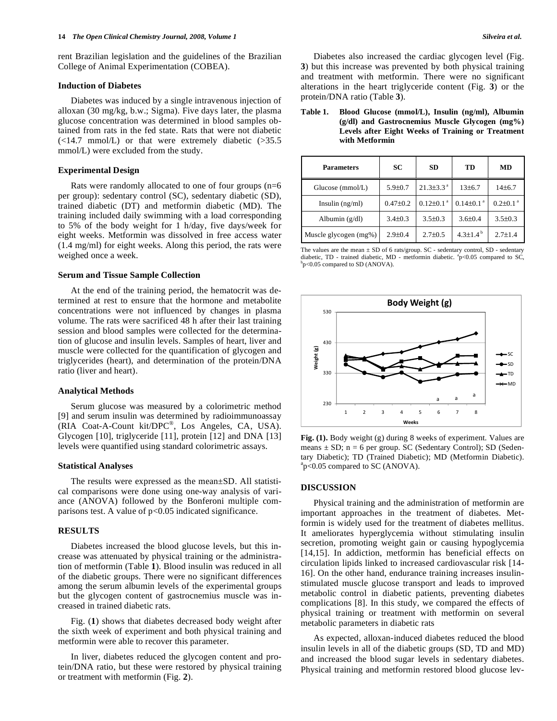rent Brazilian legislation and the guidelines of the Brazilian College of Animal Experimentation (COBEA).

#### **Induction of Diabetes**

 Diabetes was induced by a single intravenous injection of alloxan (30 mg/kg, b.w.; Sigma). Five days later, the plasma glucose concentration was determined in blood samples obtained from rats in the fed state. Rats that were not diabetic  $(\leq 14.7 \text{ mmol/L})$  or that were extremely diabetic  $(\geq 35.5 \text{ mol})$ mmol/L) were excluded from the study.

# **Experimental Design**

 Rats were randomly allocated to one of four groups (n=6 per group): sedentary control (SC), sedentary diabetic (SD), trained diabetic (DT) and metformin diabetic (MD). The training included daily swimming with a load corresponding to 5% of the body weight for 1 h/day, five days/week for eight weeks. Metformin was dissolved in free access water (1.4 mg/ml) for eight weeks. Along this period, the rats were weighed once a week.

## **Serum and Tissue Sample Collection**

 At the end of the training period, the hematocrit was determined at rest to ensure that the hormone and metabolite concentrations were not influenced by changes in plasma volume. The rats were sacrificed 48 h after their last training session and blood samples were collected for the determination of glucose and insulin levels. Samples of heart, liver and muscle were collected for the quantification of glycogen and triglycerides (heart), and determination of the protein/DNA ratio (liver and heart).

#### **Analytical Methods**

 Serum glucose was measured by a colorimetric method [9] and serum insulin was determined by radioimmunoassay (RIA Coat-A-Count kit/DPC®, Los Angeles, CA, USA). Glycogen [10], triglyceride [11], protein [12] and DNA [13] levels were quantified using standard colorimetric assays.

# **Statistical Analyses**

 The results were expressed as the mean±SD. All statistical comparisons were done using one-way analysis of variance (ANOVA) followed by the Bonferoni multiple comparisons test. A value of  $p<0.05$  indicated significance.

# **RESULTS**

 Diabetes increased the blood glucose levels, but this increase was attenuated by physical training or the administration of metformin (Table **1**). Blood insulin was reduced in all of the diabetic groups. There were no significant differences among the serum albumin levels of the experimental groups but the glycogen content of gastrocnemius muscle was increased in trained diabetic rats.

 Fig. (**1**) shows that diabetes decreased body weight after the sixth week of experiment and both physical training and metformin were able to recover this parameter.

 In liver, diabetes reduced the glycogen content and protein/DNA ratio, but these were restored by physical training or treatment with metformin (Fig. **2**).

 Diabetes also increased the cardiac glycogen level (Fig. **3**) but this increase was prevented by both physical training and treatment with metformin. There were no significant alterations in the heart triglyceride content (Fig. **3**) or the protein/DNA ratio (Table **3**).

**Table 1. Blood Glucose (mmol/L), Insulin (ng/ml), Albumin (g/dl) and Gastrocnemius Muscle Glycogen (mg%) Levels after Eight Weeks of Training or Treatment with Metformin** 

| <b>Parameters</b>     | SC             | <b>SD</b>                   | TD                          | <b>MD</b>                  |
|-----------------------|----------------|-----------------------------|-----------------------------|----------------------------|
| Glucose (mmol/L)      | $5.9 \pm 0.7$  | $21.3\pm3.3$ <sup>a</sup>   | 13±6.7                      | 14±6.7                     |
| Insulin $(ng/ml)$     | $0.47 \pm 0.2$ | $0.12 \pm 0.1$ <sup>a</sup> | $0.14 \pm 0.1$ <sup>a</sup> | $0.2 \pm 0.1$ <sup>a</sup> |
| Albumin $(g/dl)$      | $3.4 \pm 0.3$  | $3.5 \pm 0.3$               | $3.6 \pm 0.4$               | $3.5 \pm 0.3$              |
| Muscle glycogen (mg%) | $2.9 \pm 0.4$  | $2.7 \pm 0.5$               | 4.3 $\pm$ 1.4 <sup>b</sup>  | $2.7 \pm 1.4$              |

The values are the mean  $\pm$  SD of 6 rats/group. SC - sedentary control, SD - sedentary diabetic, TD - trained diabetic, MD - metformin diabetic.  ${}^{a}_{P}$  < 0.05 compared to SC,  ${}^{b}_{P}$  < 0.05 compared to SD (ANOVA) b<sub>p</sub><0.05 compared to SD (ANOVA).



**Fig. (1).** Body weight (g) during 8 weeks of experiment. Values are means  $\pm$  SD; n = 6 per group. SC (Sedentary Control); SD (Sedentary Diabetic); TD (Trained Diabetic); MD (Metformin Diabetic). a p<0.05 compared to SC (ANOVA).

#### **DISCUSSION**

 Physical training and the administration of metformin are important approaches in the treatment of diabetes. Metformin is widely used for the treatment of diabetes mellitus. It ameliorates hyperglycemia without stimulating insulin secretion, promoting weight gain or causing hypoglycemia [14,15]. In addiction, metformin has beneficial effects on circulation lipids linked to increased cardiovascular risk [14- 16]. On the other hand, endurance training increases insulinstimulated muscle glucose transport and leads to improved metabolic control in diabetic patients, preventing diabetes complications [8]. In this study, we compared the effects of physical training or treatment with metformin on several metabolic parameters in diabetic rats

 As expected, alloxan-induced diabetes reduced the blood insulin levels in all of the diabetic groups (SD, TD and MD) and increased the blood sugar levels in sedentary diabetes. Physical training and metformin restored blood glucose lev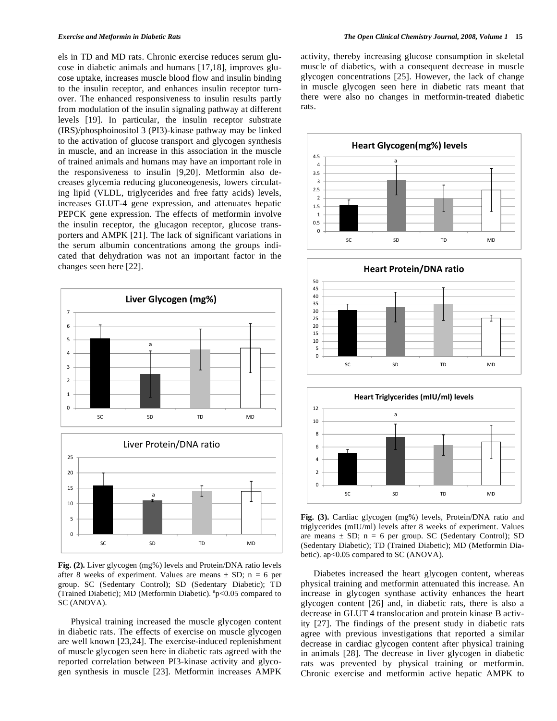els in TD and MD rats. Chronic exercise reduces serum glucose in diabetic animals and humans [17,18], improves glucose uptake, increases muscle blood flow and insulin binding to the insulin receptor, and enhances insulin receptor turnover. The enhanced responsiveness to insulin results partly from modulation of the insulin signaling pathway at different levels [19]. In particular, the insulin receptor substrate (IRS)/phosphoinositol 3 (PI3)-kinase pathway may be linked to the activation of glucose transport and glycogen synthesis in muscle, and an increase in this association in the muscle of trained animals and humans may have an important role in the responsiveness to insulin [9,20]. Metformin also decreases glycemia reducing gluconeogenesis, lowers circulating lipid (VLDL, triglycerides and free fatty acids) levels, increases GLUT-4 gene expression, and attenuates hepatic PEPCK gene expression. The effects of metformin involve the insulin receptor, the glucagon receptor, glucose transporters and AMPK [21]. The lack of significant variations in the serum albumin concentrations among the groups indicated that dehydration was not an important factor in the changes seen here [22].



**Fig. (2).** Liver glycogen (mg%) levels and Protein/DNA ratio levels after 8 weeks of experiment. Values are means  $\pm$  SD; n = 6 per group. SC (Sedentary Control); SD (Sedentary Diabetic); TD (Trained Diabetic); MD (Metformin Diabetic).  ${}^{a}p<0.05$  compared to SC (ANOVA).

 Physical training increased the muscle glycogen content in diabetic rats. The effects of exercise on muscle glycogen are well known [23,24]. The exercise-induced replenishment of muscle glycogen seen here in diabetic rats agreed with the reported correlation between PI3-kinase activity and glycogen synthesis in muscle [23]. Metformin increases AMPK activity, thereby increasing glucose consumption in skeletal muscle of diabetics, with a consequent decrease in muscle glycogen concentrations [25]. However, the lack of change in muscle glycogen seen here in diabetic rats meant that there were also no changes in metformin-treated diabetic rats.







**Fig. (3).** Cardiac glycogen (mg%) levels, Protein/DNA ratio and triglycerides (mIU/ml) levels after 8 weeks of experiment. Values are means  $\pm$  SD; n = 6 per group. SC (Sedentary Control); SD (Sedentary Diabetic); TD (Trained Diabetic); MD (Metformin Diabetic). ap<0.05 compared to SC (ANOVA).

 Diabetes increased the heart glycogen content, whereas physical training and metformin attenuated this increase. An increase in glycogen synthase activity enhances the heart glycogen content [26] and, in diabetic rats, there is also a decrease in GLUT 4 translocation and protein kinase B activity [27]. The findings of the present study in diabetic rats agree with previous investigations that reported a similar decrease in cardiac glycogen content after physical training in animals [28]. The decrease in liver glycogen in diabetic rats was prevented by physical training or metformin. Chronic exercise and metformin active hepatic AMPK to